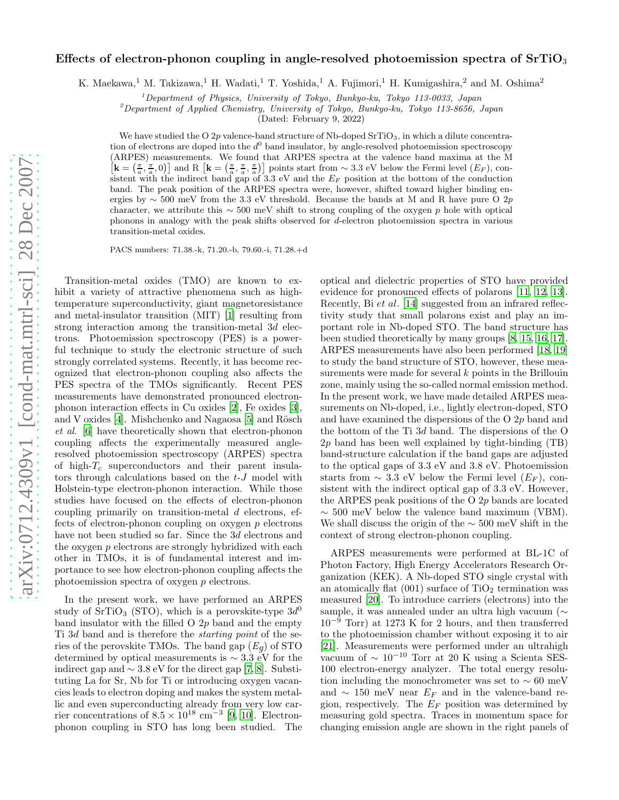## Effects of electron-phonon coupling in angle-resolved photoemission spectra of  $SrTiO<sub>3</sub>$

K. Maekawa,<sup>1</sup> M. Takizawa,<sup>1</sup> H. Wadati,<sup>1</sup> T. Yoshida,<sup>1</sup> A. Fujimori,<sup>1</sup> H. Kumigashira,<sup>2</sup> and M. Oshima<sup>2</sup>

<sup>1</sup>Department of Physics, University of Tokyo, Bunkyo-ku, Tokyo 113-0033, Japan

 $^{2}$ Department of Applied Chemistry, University of Tokyo, Bunkyo-ku, Tokyo 113-8656, Japan

(Dated: February 9, 2022)

We have studied the O 2p valence-band structure of Nb-doped  $SrTiO<sub>3</sub>$ , in which a dilute concentration of electrons are doped into the  $d^0$  band insulator, by angle-resolved photoemission spectroscopy (ARPES) measurements. We found that ARPES spectra at the val ence band maxima at the M  $\mathbf{k} = \left(\frac{\pi}{a}, \frac{\pi}{a}, 0\right)$  and R  $\mathbf{k} = \left(\frac{\pi}{a}, \frac{\pi}{a}, \frac{\pi}{a}\right)$  points start from ~ 3.3 eV below the Fermi level  $(E_F)$ , consistent with the indirect band gap of 3.3 eV and the  $E_F$  position at the bottom of the conduction band. The peak position of the ARPES spectra were, however, shifted toward higher binding energies by  $\sim$  500 meV from the 3.3 eV threshold. Because the bands at M and R have pure O 2p character, we attribute this  $\sim$  500 meV shift to strong coupling of the oxygen p hole with optical phonons in analogy with the peak shifts observed for d-electron photoemission spectra in various transition-metal oxides.

PACS numbers: 71.38.-k, 71.20.-b, 79.60.-i, 71.28.+d

Transition-metal oxides (TMO) are known to exhibit a variety of attractive phenomena such as hightemperature superconductivity, giant magnetoresistance and metal-insulator transition (MIT) [\[1](#page-3-0)] resulting from strong interaction among the transition-metal 3d electrons. Photoemission spectroscopy (PES) is a powerful technique to study the electronic structure of such strongly correlated systems. Recently, it has become recognized that electron-phonon coupling also affects the PES spectra of the TMOs significantly. Recent PES measurements have demonstrated pronounced electronphonon interaction effects in Cu oxides [\[2](#page-3-1)], Fe oxides [\[3\]](#page-3-2), and V oxides  $[4]$ . Mishchenko and Nagaosa  $[5]$  and Rösch et al. [\[6](#page-3-5)] have theoretically shown that electron-phonon coupling affects the experimentally measured angleresolved photoemission spectroscopy (ARPES) spectra of high- $T_c$  superconductors and their parent insulators through calculations based on the  $t-J$  model with Holstein-type electron-phonon interaction. While those studies have focused on the effects of electron-phonon coupling primarily on transition-metal d electrons, effects of electron-phonon coupling on oxygen  $p$  electrons have not been studied so far. Since the 3d electrons and the oxygen p electrons are strongly hybridized with each other in TMOs, it is of fundamental interest and importance to see how electron-phonon coupling affects the photoemission spectra of oxygen p electrons.

In the present work, we have performed an ARPES study of  $\overline{\text{SrTiO}_3}$  (STO), which is a perovskite-type  $3d^0$ band insulator with the filled  $O(2p)$  band and the empty Ti 3d band and is therefore the starting point of the series of the perovskite TMOs. The band gap  $(E_q)$  of STO determined by optical measurements is  $\sim 3.3$  eV for the indirect gap and  $\sim 3.8$  eV for the direct gap [\[7,](#page-3-6) [8\]](#page-3-7). Substituting La for Sr, Nb for Ti or introducing oxygen vacancies leads to electron doping and makes the system metallic and even superconducting already from very low carrier concentrations of  $8.5 \times 10^{18}$  cm<sup>-3</sup> [\[9](#page-3-8), [10\]](#page-3-9). Electronphonon coupling in STO has long been studied. The optical and dielectric properties of STO have provided evidence for pronounced effects of polarons [\[11](#page-3-10), [12](#page-3-11), [13\]](#page-3-12). Recently, Bi et al. [\[14](#page-3-13)] suggested from an infrared reflectivity study that small polarons exist and play an important role in Nb-doped STO. The band structure has been studied theoretically by many groups [\[8,](#page-3-7) [15,](#page-3-14) [16,](#page-3-15) [17\]](#page-3-16). ARPES measurements have also been performed [\[18,](#page-3-17) [19](#page-3-18)] to study the band structure of STO, however, these measurements were made for several  $k$  points in the Brillouin zone, mainly using the so-called normal emission method. In the present work, we have made detailed ARPES measurements on Nb-doped, i.e., lightly electron-doped, STO and have examined the dispersions of the O 2p band and the bottom of the Ti 3d band. The dispersions of the O 2p band has been well explained by tight-binding (TB) band-structure calculation if the band gaps are adjusted to the optical gaps of 3.3 eV and 3.8 eV. Photoemission starts from  $\sim 3.3$  eV below the Fermi level  $(E_F)$ , consistent with the indirect optical gap of 3.3 eV. However, the ARPES peak positions of the O 2p bands are located  $\sim$  500 meV below the valence band maximum (VBM). We shall discuss the origin of the ∼ 500 meV shift in the context of strong electron-phonon coupling.

ARPES measurements were performed at BL-1C of Photon Factory, High Energy Accelerators Research Organization (KEK). A Nb-doped STO single crystal with an atomically flat  $(001)$  surface of TiO<sub>2</sub> termination was measured [\[20](#page-3-19)]. To introduce carriers (electrons) into the sample, it was annealed under an ultra high vacuum (∼  $10^{-9}$  Torr) at 1273 K for 2 hours, and then transferred to the photoemission chamber without exposing it to air [\[21\]](#page-3-20). Measurements were performed under an ultrahigh vacuum of  $\sim 10^{-10}$  Torr at 20 K using a Scienta SES-100 electron-energy analyzer. The total energy resolution including the monochrometer was set to  $\sim 60$  meV and  $\sim 150$  meV near  $E_F$  and in the valence-band region, respectively. The  $E_F$  position was determined by measuring gold spectra. Traces in momentum space for changing emission angle are shown in the right panels of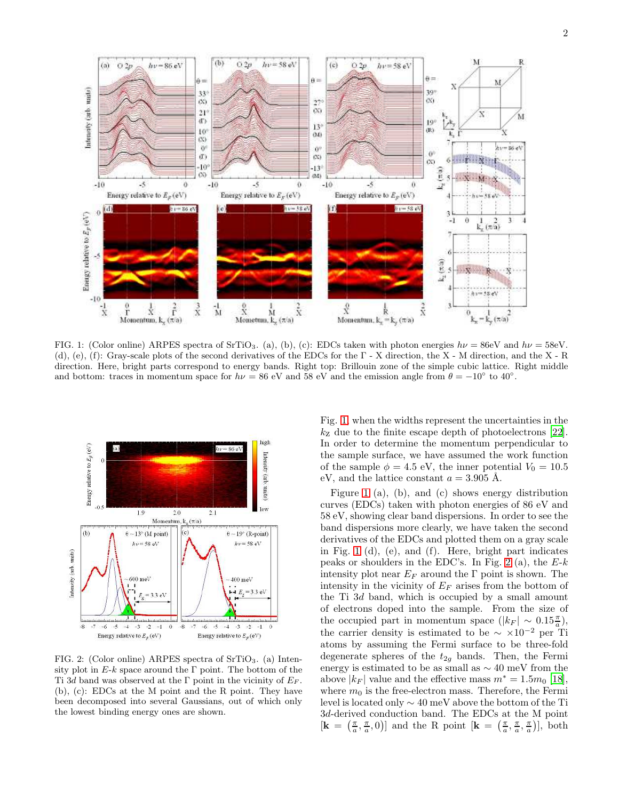

<span id="page-1-0"></span>FIG. 1: (Color online) ARPES spectra of SrTiO<sub>3</sub>. (a), (b), (c): EDCs taken with photon energies  $h\nu = 86$ eV and  $h\nu = 58$ eV. (d), (e), (f): Gray-scale plots of the second derivatives of the EDCs for the Γ - X direction, the X - M direction, and the X - R direction. Here, bright parts correspond to energy bands. Right top: Brillouin zone of the simple cubic lattice. Right middle and bottom: traces in momentum space for  $h\nu = 86$  eV and  $58$  eV and the emission angle from  $\theta = -10^{\circ}$  to  $40^{\circ}$ .



<span id="page-1-1"></span>FIG. 2: (Color online) ARPES spectra of  $SrTiO<sub>3</sub>$ . (a) Intensity plot in  $E-k$  space around the Γ point. The bottom of the Ti 3d band was observed at the Γ point in the vicinity of  $E_F$ . (b), (c): EDCs at the M point and the R point. They have been decomposed into several Gaussians, out of which only the lowest binding energy ones are shown.

Fig. [1,](#page-1-0) when the widths represent the uncertainties in the  $k_{\rm z}$  due to the finite escape depth of photoelectrons [\[22\]](#page-3-21). In order to determine the momentum perpendicular to the sample surface, we have assumed the work function of the sample  $\phi = 4.5$  eV, the inner potential  $V_0 = 10.5$ eV, and the lattice constant  $a = 3.905$  Å.

Figure [1](#page-1-0) (a), (b), and (c) shows energy distribution curves (EDCs) taken with photon energies of 86 eV and 58 eV, showing clear band dispersions. In order to see the band dispersions more clearly, we have taken the second derivatives of the EDCs and plotted them on a gray scale in Fig. [1](#page-1-0) (d), (e), and (f). Here, bright part indicates peaks or shoulders in the EDC's. In Fig. [2](#page-1-1) (a), the  $E-k$ intensity plot near  $E_F$  around the Γ point is shown. The intensity in the vicinity of  $E_F$  arises from the bottom of the Ti 3d band, which is occupied by a small amount of electrons doped into the sample. From the size of the occupied part in momentum space  $(|k_F| \sim 0.15 \frac{\pi}{a})$ , the carrier density is estimated to be  $\sim \times 10^{-2}$  per Ti atoms by assuming the Fermi surface to be three-fold degenerate spheres of the  $t_{2g}$  bands. Then, the Fermi energy is estimated to be as small as ∼ 40 meV from the above  $|k_F|$  value and the effective mass  $m^* = 1.5m_0$  [\[18\]](#page-3-17), where  $m_0$  is the free-electron mass. Therefore, the Fermi level is located only ∼ 40 meV above the bottom of the Ti 3d-derived conduction band. The EDCs at the M point  $[\mathbf{k} = (\frac{\pi}{a}, \frac{\pi}{a}, 0)]$  and the R point  $[\mathbf{k} = (\frac{\pi}{a}, \frac{\pi}{a}, \frac{\pi}{a})]$ , both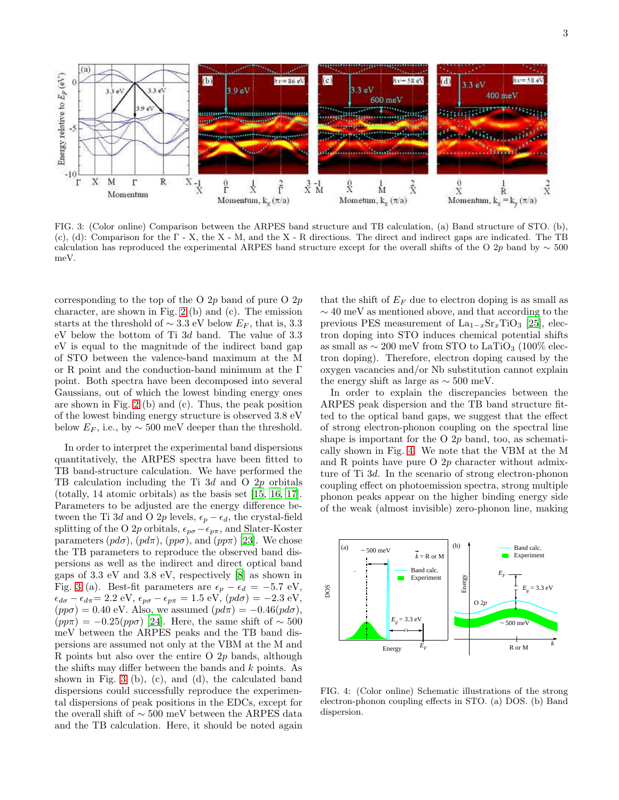

<span id="page-2-0"></span>FIG. 3: (Color online) Comparison between the ARPES band structure and TB calculation, (a) Band structure of STO. (b), (c), (d): Comparison for the Γ - X, the X - M, and the X - R directions. The direct and indirect gaps are indicated. The TB calculation has reproduced the experimental ARPES band structure except for the overall shifts of the O 2p band by  $\sim$  500 meV.

corresponding to the top of the O  $2p$  band of pure O  $2p$ character, are shown in Fig. [2](#page-1-1) (b) and (c). The emission starts at the threshold of  $\sim$  3.3 eV below  $E_F$ , that is, 3.3 eV below the bottom of Ti 3d band. The value of 3.3 eV is equal to the magnitude of the indirect band gap of STO between the valence-band maximum at the M or R point and the conduction-band minimum at the  $\Gamma$ point. Both spectra have been decomposed into several Gaussians, out of which the lowest binding energy ones are shown in Fig. [2](#page-1-1) (b) and (c). Thus, the peak position of the lowest binding energy structure is observed 3.8 eV below  $E_F$ , i.e., by  $\sim$  500 meV deeper than the threshold.

In order to interpret the experimental band dispersions quantitatively, the ARPES spectra have been fitted to TB band-structure calculation. We have performed the TB calculation including the Ti  $3d$  and O  $2p$  orbitals (totally, 14 atomic orbitals) as the basis set [\[15,](#page-3-14) [16](#page-3-15), [17\]](#page-3-16). Parameters to be adjusted are the energy difference between the Ti 3d and O 2p levels,  $\epsilon_p - \epsilon_d$ , the crystal-field splitting of the O 2p orbitals,  $\epsilon_{p\sigma} - \epsilon_{p\pi}$ , and Slater-Koster parameters  $(pd\sigma)$ ,  $(pd\pi)$ ,  $(pp\sigma)$ , and  $(pp\pi)$  [\[23](#page-3-22)]. We chose the TB parameters to reproduce the observed band dispersions as well as the indirect and direct optical band gaps of 3.3 eV and 3.8 eV, respectively [\[8](#page-3-7)] as shown in Fig. [3](#page-2-0) (a). Best-fit parameters are  $\epsilon_p - \epsilon_d = -5.7 \text{ eV}$ ,  $\epsilon_{d\sigma} - \epsilon_{d\pi} = 2.2 \text{ eV}, \epsilon_{p\sigma} - \epsilon_{p\pi} = 1.5 \text{ eV}, (pd\sigma) = -2.3 \text{ eV},$  $(pp\sigma) = 0.40$  eV. Also, we assumed  $(p d\pi) = -0.46 (pd\sigma)$ ,  $(pp\pi) = -0.25(pp\sigma)$  [\[24\]](#page-3-23). Here, the same shift of ~ 500 meV between the ARPES peaks and the TB band dispersions are assumed not only at the VBM at the M and R points but also over the entire O  $2p$  bands, although the shifts may differ between the bands and k points. As shown in Fig. [3](#page-2-0) (b), (c), and (d), the calculated band dispersions could successfully reproduce the experimental dispersions of peak positions in the EDCs, except for the overall shift of ∼ 500 meV between the ARPES data and the TB calculation. Here, it should be noted again

that the shift of  $E_F$  due to electron doping is as small as ∼ 40 meV as mentioned above, and that according to the previous PES measurement of  $La_{1-x}Sr_xTiO_3$  [\[25](#page-3-24)], electron doping into STO induces chemical potential shifts as small as  $\sim 200$  meV from STO to LaTiO<sub>3</sub> (100% electron doping). Therefore, electron doping caused by the oxygen vacancies and/or Nb substitution cannot explain the energy shift as large as  $\sim$  500 meV.

In order to explain the discrepancies between the ARPES peak dispersion and the TB band structure fitted to the optical band gaps, we suggest that the effect of strong electron-phonon coupling on the spectral line shape is important for the O  $2p$  band, too, as schematically shown in Fig. [4.](#page-2-1) We note that the VBM at the M and R points have pure O 2p character without admixture of Ti 3d. In the scenario of strong electron-phonon coupling effect on photoemission spectra, strong multiple phonon peaks appear on the higher binding energy side of the weak (almost invisible) zero-phonon line, making



<span id="page-2-1"></span>FIG. 4: (Color online) Schematic illustrations of the strong electron-phonon coupling effects in STO. (a) DOS. (b) Band dispersion.